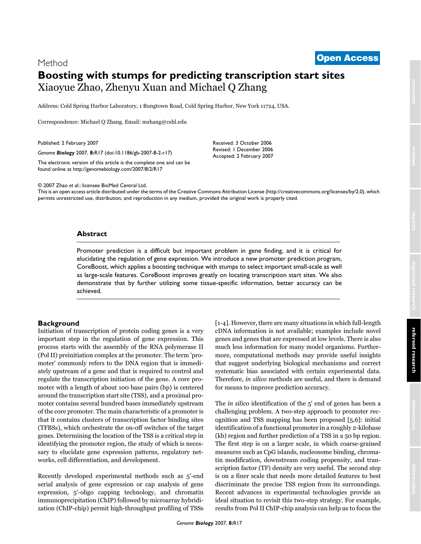# <sup>2007</sup> Zhaoet al. Volume 8, Issue 2, Article R17 **[Open Access](http://www.biomedcentral.com/info/about/charter/)** Method **Boosting with stumps for predicting transcription start sites** Xiaoyue Zhao, Zhenyu Xuan and Michael Q Zhang

Address: Cold Spring Harbor Laboratory, 1 Bungtown Road, Cold Spring Harbor, New York 11724, USA.

Correspondence: Michael Q Zhang. Email: mzhang@cshl.edu

Published: 2 February 2007

*Genome Biology* 2007, **8:**R17 (doi:10.1186/gb-2007-8-2-r17)

[The electronic version of this article is the complete one and can be](http://genomebiology.com/2007/8/2/R17)  found online at http://genomebiology.com/2007/8/2/R17

© 2007 Zhao *et al*.; licensee BioMed Central Ltd.

[This is an open access article distributed under the terms of the Creative Commons Attribution License \(http://creativecommons.org/licenses/by/2.0\), which](http://creativecommons.org/licenses/by/2.0)  permits unrestricted use, distribution, and reproduction in any medium, provided the original work is properly cited.

Received: 3 October 2006 Revised: 1 December 2006 Accepted: 2 February 2007

# **Abstract**

Promoter prediction is a difficult but important problem in gene finding, and it is critical for elucidating the regulation of gene expression. We introduce a new promoter prediction program, CoreBoost, which applies a boosting technique with stumps to select important small-scale as well as large-scale features. CoreBoost improves greatly on locating transcription start sites. We also demonstrate that by further utilizing some tissue-specific information, better accuracy can be achieved.

# **Background**

Initiation of transcription of protein coding genes is a very important step in the regulation of gene expression. This process starts with the assembly of the RNA polymerase II (Pol II) preinitiation complex at the promoter. The term 'promoter' commonly refers to the DNA region that is immediately upstream of a gene and that is required to control and regulate the transcription initiation of the gene. A core promoter with a length of about 100 base pairs (bp) is centered around the transcription start site (TSS), and a proximal promoter contains several hundred bases immediately upstream of the core promoter. The main characteristic of a promoter is that it contains clusters of transcription factor binding sites (TFBSs), which orchestrate the on-off switches of the target genes. Determining the location of the TSS is a critical step in identifying the promoter region, the study of which is necessary to elucidate gene expression patterns, regulatory networks, cell differentiation, and development.

Recently developed experimental methods such as 5'-end serial analysis of gene expression or cap analysis of gene expression, 5'-oligo capping technology, and chromatin immunoprecipitation (ChIP) followed by microarray hybridization (ChIP-chip) permit high-throughput profiling of TSSs [1-4]. However, there are many situations in which full-length cDNA information is not available; examples include novel genes and genes that are expressed at low levels. There is also much less information for many model organisms. Furthermore, computational methods may provide useful insights that suggest underlying biological mechanisms and correct systematic bias associated with certain experimental data. Therefore, *in silico* methods are useful, and there is demand for means to improve prediction accuracy.

The *in silico* identification of the 5' end of genes has been a challenging problem. A two-step approach to promoter recognition and TSS mapping has been proposed [5,6]: initial identification of a functional promoter in a roughly 2-kilobase (kb) region and further prediction of a TSS in a 50 bp region. The first step is on a larger scale, in which coarse-grained measures such as CpG islands, nucleosome binding, chromatin modification, downstream coding propensity, and transcription factor (TF) density are very useful. The second step is on a finer scale that needs more detailed features to best discriminate the precise TSS region from its surroundings. Recent advances in experimental technologies provide an ideal situation to revisit this two-step strategy. For example, results from Pol II ChIP-chip analysis can help us to focus the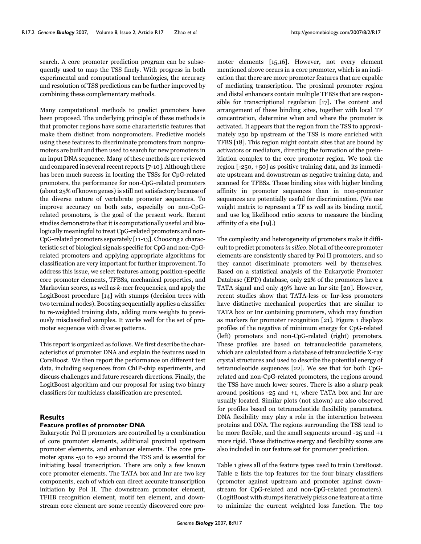search. A core promoter prediction program can be subsequently used to map the TSS finely. With progress in both experimental and computational technologies, the accuracy and resolution of TSS predictions can be further improved by combining these complementary methods.

Many computational methods to predict promoters have been proposed. The underlying principle of these methods is that promoter regions have some characteristic features that make them distinct from nonpromoters. Predictive models using these features to discriminate promoters from nonpromoters are built and then used to search for new promoters in an input DNA sequence. Many of these methods are reviewed and compared in several recent reports [7-10]. Although there has been much success in locating the TSSs for CpG-related promoters, the performance for non-CpG-related promoters (about 25% of known genes) is still not satisfactory because of the diverse nature of vertebrate promoter sequences. To improve accuracy on both sets, especially on non-CpGrelated promoters, is the goal of the present work. Recent studies demonstrate that it is computationally useful and biologically meaningful to treat CpG-related promoters and non-CpG-related promoters separately [11-13]. Choosing a characteristic set of biological signals specific for CpG and non-CpGrelated promoters and applying appropriate algorithms for classification are very important for further improvement. To address this issue, we select features among position-specific core promoter elements, TFBSs, mechanical properties, and Markovian scores, as well as *k*-mer frequencies, and apply the LogitBoost procedure [14] with stumps (decision trees with two terminal nodes). Boosting sequentially applies a classifier to re-weighted training data, adding more weights to previously misclassified samples. It works well for the set of promoter sequences with diverse patterns.

This report is organized as follows. We first describe the characteristics of promoter DNA and explain the features used in CoreBoost. We then report the performance on different test data, including sequences from ChIP-chip experiments, and discuss challenges and future research directions. Finally, the LogitBoost algorithm and our proposal for using two binary classifiers for multiclass classification are presented.

## **Results**

#### **Feature profiles of promoter DNA**

Eukaryotic Pol II promoters are controlled by a combination of core promoter elements, additional proximal upstream promoter elements, and enhancer elements. The core promoter spans -50 to +50 around the TSS and is essential for initiating basal transcription. There are only a few known core promoter elements. The TATA box and Inr are two key components, each of which can direct accurate transcription initiation by Pol II. The downstream promoter element, TFIIB recognition element, motif ten element, and downstream core element are some recently discovered core promoter elements [15,16]. However, not every element mentioned above occurs in a core promoter, which is an indication that there are more promoter features that are capable of mediating transcription. The proximal promoter region and distal enhancers contain multiple TFBSs that are responsible for transcriptional regulation [17]. The content and arrangement of these binding sites, together with local TF concentration, determine when and where the promoter is activated. It appears that the region from the TSS to approximately 250 bp upstream of the TSS is more enriched with TFBS [18]. This region might contain sites that are bound by activators or mediators, directing the formation of the preinitiation complex to the core promoter region. We took the region [-250, +50] as positive training data, and its immediate upstream and downstream as negative training data, and scanned for TFBSs. Those binding sites with higher binding affinity in promoter sequences than in non-promoter sequences are potentially useful for discrimination. (We use weight matrix to represent a TF as well as its binding motif, and use log likelihood ratio scores to measure the binding affinity of a site [19].)

The complexity and heterogeneity of promoters make it difficult to predict promoters *in silico*. Not all of the core promoter elements are consistently shared by Pol II promoters, and so they cannot discriminate promoters well by themselves. Based on a statistical analysis of the Eukaryotic Promoter Database (EPD) database, only 22% of the promoters have a TATA signal and only 49% have an Inr site [20]. However, recent studies show that TATA-less or Inr-less promoters have distinctive mechanical properties that are similar to TATA box or Inr containing promoters, which may function as markers for promoter recognition [21]. Figure [1](#page-2-0) displays profiles of the negative of minimum energy for CpG-related (left) promoters and non-CpG-related (right) promoters. These profiles are based on tetranucleotide parameters, which are calculated from a database of tetranucleotide X-ray crystal structures and used to describe the potential energy of tetranucleotide sequences [22]. We see that for both CpGrelated and non-CpG-related promoters, the regions around the TSS have much lower scores. There is also a sharp peak around positions -25 and +1, where TATA box and Inr are usually located. Similar plots (not shown) are also observed for profiles based on tetranucleotide flexibility parameters. DNA flexibility may play a role in the interaction between proteins and DNA. The regions surrounding the TSS tend to be more flexible, and the small segments around -25 and +1 more rigid. These distinctive energy and flexibility scores are also included in our feature set for promoter prediction.

Table [1](#page-2-1) gives all of the feature types used to train CoreBoost. Table [2](#page-3-0) lists the top features for the four binary classifiers (promoter against upstream and promoter against downstream for CpG-related and non-CpG-related promoters). (LogitBoost with stumps iteratively picks one feature at a time to minimize the current weighted loss function. The top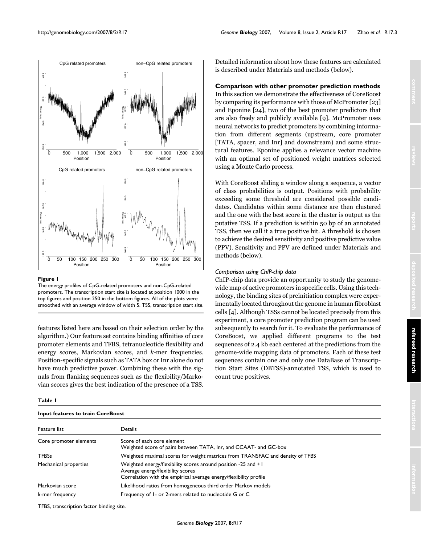<span id="page-2-0"></span>

## Figure 1

The energy profiles of CpG-related promoters and non-CpG-related promoters. The transcription start site is located at position 1000 in the top figures and position 250 in the bottom figures. All of the plots were smoothed with an average window of width 5. TSS, transcription start site.

features listed here are based on their selection order by the algorithm.) Our feature set contains binding affinities of core promoter elements and TFBS, tetranucleotide flexibility and energy scores, Markovian scores, and *k*-mer frequencies. Position-specific signals such as TATA box or Inr alone do not have much predictive power. Combining these with the signals from flanking sequences such as the flexibility/Markovian scores gives the best indication of the presence of a TSS.

## <span id="page-2-1"></span>**Table 1**

# **Input features to train CoreBoost**

Feature list **Details** 

Core promoter elements Score of each core element

Detailed information about how these features are calculated is described under Materials and methods (below).

**Comparison with other promoter prediction methods** In this section we demonstrate the effectiveness of CoreBoost by comparing its performance with those of McPromoter [23] and Eponine [24], two of the best promoter predictors that are also freely and publicly available [9]. McPromoter uses neural networks to predict promoters by combining information from different segments (upstream, core promoter [TATA, spacer, and Inr] and downstream) and some structural features. Eponine applies a relevance vector machine with an optimal set of positioned weight matrices selected using a Monte Carlo process.

With CoreBoost sliding a window along a sequence, a vector of class probabilities is output. Positions with probability exceeding some threshold are considered possible candidates. Candidates within some distance are then clustered and the one with the best score in the cluster is output as the putative TSS. If a prediction is within 50 bp of an annotated TSS, then we call it a true positive hit. A threshold is chosen to achieve the desired sensitivity and positive predictive value (PPV). Sensitivity and PPV are defined under Materials and methods (below).

# *Comparison using ChIP-chip data*

ChIP-chip data provide an opportunity to study the genomewide map of active promoters in specific cells. Using this technology, the binding sites of preinitiation complex were experimentally located throughout the genome in human fibroblast cells [4]. Although TSSs cannot be located precisely from this experiment, a core promoter prediction program can be used subsequently to search for it. To evaluate the performance of CoreBoost, we applied different programs to the test sequences of 2.4 kb each centered at the predictions from the genome-wide mapping data of promoters. Each of these test sequences contain one and only one DataBase of Transcription Start Sites (DBTSS)-annotated TSS, which is used to count true positives.

TFBS, transcription factor binding site.

Weighted score of pairs between TATA, Inr, and CCAAT- and GC-box

Correlation with the empirical average energy/flexibility profile

TFBSs Weighted maximal scores for weight matrices from TRANSFAC and density of TFBS

Mechanical properties Weighted energy/flexibility scores around position -25 and +1 Average energy/flexibility scores

Markovian score Likelihood ratios from homogeneous third order Markov models k-mer frequency Frequency of I- or 2-mers related to nucleotide G or C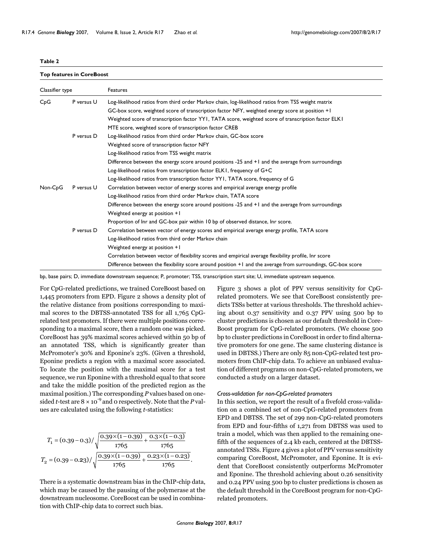#### <span id="page-3-0"></span>**Table 2**

| <b>Top features in CoreBoost</b> |            |                                                                                                             |
|----------------------------------|------------|-------------------------------------------------------------------------------------------------------------|
| Classifier type                  |            | Features                                                                                                    |
| CpG                              | P versus U | Log-likelihood ratios from third order Markov chain, log-likelihood ratios from TSS weight matrix           |
|                                  |            | GC-box score, weighted score of transcription factor NFY, weighted energy score at position +1              |
|                                  |            | Weighted score of transcription factor YY1, TATA score, weighted score of transcription factor ELK1         |
|                                  |            | MTE score, weighted score of transcription factor CREB                                                      |
|                                  | P versus D | Log-likelihood ratios from third order Markov chain, GC-box score                                           |
|                                  |            | Weighted score of transcription factor NFY                                                                  |
|                                  |            | Log-likelihood ratios from TSS weight matrix                                                                |
|                                  |            | Difference between the energy score around positions -25 and +1 and the average from surroundings           |
|                                  |            | Log-likelihood ratios from transcription factor ELK1, frequency of G+C                                      |
|                                  |            | Log-likelihood ratios from transcription factor YY1, TATA score, frequency of G                             |
| Non-CpG                          | P versus U | Correlation between vector of energy scores and empirical average energy profile                            |
|                                  |            | Log-likelihood ratios from third order Markov chain, TATA score                                             |
|                                  |            | Difference between the energy score around positions -25 and +1 and the average from surroundings           |
|                                  |            | Weighted energy at position +1                                                                              |
|                                  |            | Proportion of Inr and GC-box pair within 10 bp of observed distance, Inr score.                             |
|                                  | P versus D | Correlation between vector of energy scores and empirical average energy profile, TATA score                |
|                                  |            | Log-likelihood ratios from third order Markov chain                                                         |
|                                  |            | Weighted energy at position +1                                                                              |
|                                  |            | Correlation between vector of flexibility scores and empirical average flexibility profile, Inr score       |
|                                  |            | Difference between the flexibility score around position +1 and the average from surroundings, GC-box score |

bp, base pairs; D, immediate downstream sequence; P, promoter; TSS, transcription start site; U, immediate upstream sequence.

For CpG-related predictions, we trained CoreBoost based on 1,445 promoters from EPD. Figure 2 shows a density plot of the relative distance from positions corresponding to maximal scores to the DBTSS-annotated TSS for all 1,765 CpGrelated test promoters. If there were multiple positions corresponding to a maximal score, then a random one was picked. CoreBoost has 39% maximal scores achieved within 50 bp of an annotated TSS, which is significantly greater than McPromoter's 30% and Eponine's 23%. (Given a threshold, Eponine predicts a region with a maximal score associated. To locate the position with the maximal score for a test sequence, we run Eponine with a threshold equal to that score and take the middle position of the predicted region as the maximal position.) The corresponding *P* values based on onesided *t*-test are  $8 \times 10^{-9}$  and 0 respectively. Note that the *P* values are calculated using the following *t*-statistics:

$$
T_1 = (0.39 - 0.3) / \sqrt{\frac{0.39 \times (1 - 0.39)}{1765} + \frac{0.3 \times (1 - 0.3)}{1765}}
$$

$$
T_2 = (0.39 - 0.23) / \sqrt{\frac{0.39 \times (1 - 0.39)}{1765} + \frac{0.23 \times (1 - 0.23)}{1765}}.
$$

There is a systematic downstream bias in the ChIP-chip data, which may be caused by the pausing of the polymerase at the downstream nucleosome. CoreBoost can be used in combination with ChIP-chip data to correct such bias.

Figure 3 shows a plot of PPV versus sensitivity for CpGrelated promoters. We see that CoreBoost consistently predicts TSSs better at various thresholds. The threshold achieving about 0.37 sensitivity and 0.37 PPV using 500 bp to cluster predictions is chosen as our default threshold in Core-Boost program for CpG-related promoters. (We choose 500 bp to cluster predictions in CoreBoost in order to find alternative promoters for one gene. The same clustering distance is used in DBTSS.) There are only 85 non-CpG-related test promoters from ChIP-chip data. To achieve an unbiased evaluation of different programs on non-CpG-related promoters, we conducted a study on a larger dataset.

# *Cross-validation for non-CpG-related promoters*

In this section, we report the result of a fivefold cross-validation on a combined set of non-CpG-related promoters from EPD and DBTSS. The set of 299 non-CpG-related promoters from EPD and four-fifths of 1,271 from DBTSS was used to train a model, which was then applied to the remaining onefifth of the sequences of 2.4 kb each, centered at the DBTSSannotated TSSs. Figure 4 gives a plot of PPV versus sensitivity comparing CoreBoost, McPromoter, and Eponine. It is evident that CoreBoost consistently outperforms McPromoter and Eponine. The threshold achieving about 0.26 sensitivity and 0.24 PPV using 500 bp to cluster predictions is chosen as the default threshold in the CoreBoost program for non-CpGrelated promoters.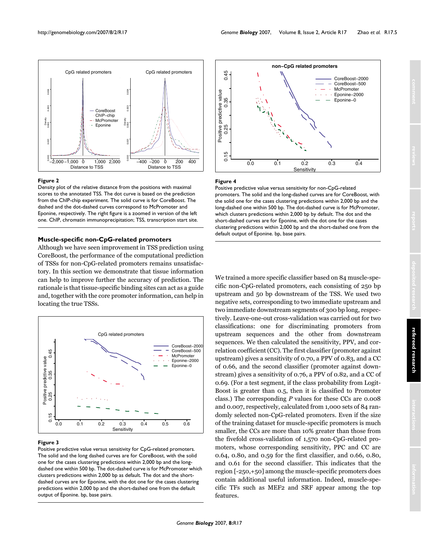

#### **Figure 2**

Density plot of the relative distance from the positions with maximal scores to the annotated TSS. The dot curve is based on the prediction from the ChIP-chip experiment. The solid curve is for CoreBoost. The dashed and the dot-dashed curves correspond to McPromoter and Eponine, respectively. The right figure is a zoomed in version of the left one. ChIP, chromatin immunoprecipitation; TSS, transcription start site.

#### **Muscle-specific non-CpG-related promoters**

Although we have seen improvement in TSS prediction using CoreBoost, the performance of the computational prediction of TSSs for non-CpG-related promoters remains unsatisfactory. In this section we demonstrate that tissue information can help to improve further the accuracy of prediction. The rationale is that tissue-specific binding sites can act as a guide and, together with the core promoter information, can help in locating the true TSSs.



#### Positive predictive value value value value value value value value value value value value value value value

Positive predictive value versus sensitivity for CpG-related promoters. The solid and the long dashed curves are for CoreBoost, with the solid one for the cases clustering predictions within 2,000 bp and the longdashed one within 500 bp. The dot-dashed curve is for McPromoter which clusters predictions within 2,000 bp as default. The dot and the shortdashed curves are for Eponine, with the dot one for the cases clustering predictions within 2,000 bp and the short-dashed one from the default output of Eponine. bp, base pairs.



#### **Figure 4**

Positive predictive value versus sensitivity for non-CpG-related promoters. The solid and the long-dashed curves are for CoreBoost, with the solid one for the cases clustering predictions within 2,000 bp and the long-dashed one within 500 bp. The dot-dashed curve is for McPromoter, which clusters predictions within 2,000 bp by default. The dot and the short-dashed curves are for Eponine, with the dot one for the cases clustering predictions within 2,000 bp and the short-dashed one from the default output of Eponine. bp, base pairs.

We trained a more specific classifier based on 84 muscle-specific non-CpG-related promoters, each consisting of 250 bp upstream and 50 bp downstream of the TSS. We used two negative sets, corresponding to two immediate upstream and two immediate downstream segments of 300 bp long, respectively. Leave-one-out cross-validation was carried out for two classifications: one for discriminating promoters from upstream sequences and the other from downstream sequences. We then calculated the sensitivity, PPV, and correlation coefficient (CC). The first classifier (promoter against upstream) gives a sensitivity of 0.70, a PPV of 0.83, and a CC of 0.66, and the second classifier (promoter against downstream) gives a sensitivity of 0.76, a PPV of 0.82, and a CC of 0.69. (For a test segment, if the class probability from Logit-Boost is greater than 0.5, then it is classified to Promoter class.) The corresponding *P* values for these CCs are 0.008 and 0.007, respectively, calculated from 1,000 sets of 84 randomly selected non-CpG-related promoters. Even if the size of the training dataset for muscle-specific promoters is much smaller, the CCs are more than 10% greater than those from the fivefold cross-validation of 1,570 non-CpG-related promoters, whose corresponding sensitivity, PPC and CC are 0.64, 0.80, and 0.59 for the first classifier, and 0.66, 0.80, and 0.61 for the second classifier. This indicates that the region [-250,+50] among the muscle-specific promoters does contain additional useful information. Indeed, muscle-specific TFs such as MEF2 and SRF appear among the top features.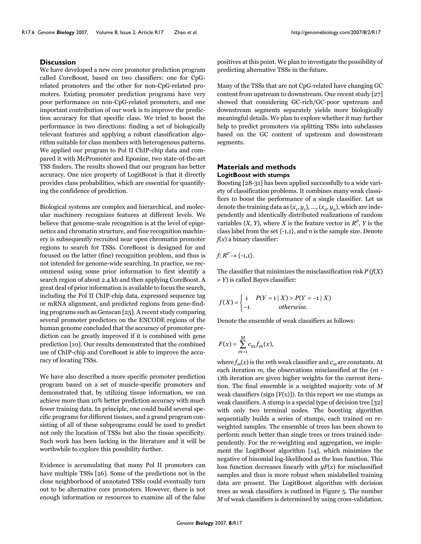## **Discussion**

We have developed a new core promoter prediction program called CoreBoost, based on two classifiers: one for CpGrelated promoters and the other for non-CpG-related promoters. Existing promoter prediction programs have very poor performance on non-CpG-related promoters, and one important contribution of our work is to improve the prediction accuracy for that specific class. We tried to boost the performance in two directions: finding a set of biologically relevant features and applying a robust classification algorithm suitable for class members with heterogenous patterns. We applied our program to Pol II ChIP-chip data and compared it with McPromoter and Eponine, two state-of-the-art TSS finders. The results showed that our program has better accuracy. One nice property of LogitBoost is that it directly provides class probabilities, which are essential for quantifying the confidence of prediction.

Biological systems are complex and hierarchical, and molecular machinery recognizes features at different levels. We believe that genome-scale recognition is at the level of epigenetics and chromatin structure, and fine recognition machinery is subsequently recruited near open chromatin promoter regions to search for TSSs. CoreBoost is designed for and focused on the latter (fine) recognition problem, and thus is not intended for genome-wide searching. In practice, we recommend using some prior information to first identify a search region of about 2.4 kb and then applying CoreBoost. A great deal of prior information is available to focus the search, including the Pol II ChIP-chip data, expressed sequence tag or mRNA alignment, and predicted regions from gene-finding programs such as Genscan [25]. A recent study comparing several promoter predictors on the ENCODE regions of the human genome concluded that the accuracy of promoter prediction can be greatly improved if it is combined with gene prediction [10]. Our results demonstrated that the combined use of ChIP-chip and CoreBoost is able to improve the accuracy of locating TSSs.

We have also described a more specific promoter prediction program based on a set of muscle-specific promoters and demonstrated that, by utilizing tissue information, we can achieve more than 10% better prediction accuracy with much fewer training data. In principle, one could build several specific programs for different tissues, and a grand program consisting of all of these subprograms could be used to predict not only the location of TSSs but also the tissue specificity. Such work has been lacking in the literature and it will be worthwhile to explore this possibility further.

Evidence is accumulating that many Pol II promoters can have multiple TSSs [26]. Some of the predictions not in the close neighborhood of annotated TSSs could eventually turn out to be alternative core promoters. However, there is not enough information or resources to examine all of the false

positives at this point. We plan to investigate the possibility of predicting alternative TSSs in the future.

Many of the TSSs that are not CpG-related have changing GC content from upstream to downstream. One recent study [27] showed that considering GC-rich/GC-poor upstream and downstream segments separately yields more biologically meaningful details. We plan to explore whether it may further help to predict promoters via splitting TSSs into subclasses based on the GC content of upstream and downstream segments.

# **Materials and methods LogitBoost with stumps**

Boosting [28-31] has been applied successfully to a wide variety of classification problems. It combines many weak classifiers to boost the performance of a single classifier. Let us denote the training data as  $(x_1, y_1), ..., (x_n, y_n)$ , which are independently and identically distributed realizations of random variables  $(X, Y)$ , where *X* is the feature vector in  $R^p$ , *Y* is the class label from the set {-1,1}, and *n* is the sample size. Denote  $f(x)$  a binary classifier:

$$
f: R^p \to \{-1,1\}.
$$

The classifier that minimizes the misclassification risk *P* (*f*(*X*)  $\neq$  *Y*) is called Bayes classifier:

$$
f(X) = \begin{cases} 1 & P(Y = 1 | X) > P(Y = -1 | X) \\ -1 & otherwise. \end{cases}
$$

Denote the ensemble of weak classifiers as follows:

$$
F(x) = \sum_{m=1}^{M} c_m f_m(x),
$$

where  $f_m(x)$  is the *m*th weak classifier and  $c_m$  are constants. At each iteration *m*, the observations misclassified at the (*m* - 1)th iteration are given higher weights for the current iteration. The final ensemble is a weighted majority vote of *M* weak classifiers (sign  $[F(x)]$ ). In this report we use stumps as weak classifiers. A stump is a special type of decision tree [32] with only two terminal nodes. The boosting algorithm sequentially builds a series of stumps, each trained on reweighted samples. The ensemble of trees has been shown to perform much better than single trees or trees trained independently. For the re-weighting and aggregation, we implement the LogitBoost algorithm [14], which minimizes the negative of binomial log-likelihood as the loss function. This loss function decreases linearly with *yF*(*x*) for misclassified samples and thus is more robust when mislabelled training data are present. The LogitBoost algorithm with decision trees as weak classifiers is outlined in Figure 5. The number *M* of weak classifiers is determined by using cross-validation.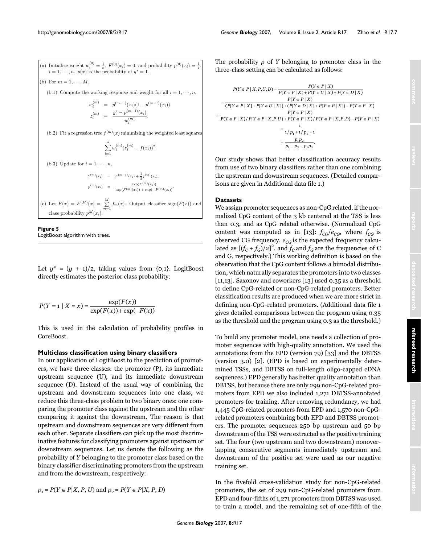(a) Initialize weight 
$$
w_i^{(0)} = \frac{1}{n}
$$
,  $F^{(0)}(x_i) = 0$ , and probability  $p^{(0)}(x_i) = \frac{1}{2}$ ,  $i = 1, \dots, n$ .  $p(x)$  is the probability of  $y^* = 1$ .

(b) For 
$$
m = 1, \dots, M
$$
,

(b.1) Compute the working response and weight for all  $i = 1, \dots, n$ ,

$$
w_i^{(m)} = p^{(m-1)}(x_i)(1 - p^{(m-1)}(x_i)),
$$
  
\n
$$
z_i^{(m)} = \frac{y_i^* - p^{(m-1)}(x_i)}{w_i^{(m)}}.
$$

(b.2) Fit a regression tree  $f^{(m)}(x)$  minimizing the weighted least squares

$$
\sum_{i=1}^{n} w_i^{(m)} (z_i^{(m)} - f(x_i))^2.
$$

(b.3) Update for  $i = 1, \dots, n$ ,

$$
F^{(m)}(x_i) = F^{(m-1)}(x_i) + \frac{1}{2}f^{(m)}(x_i),
$$

$$
p^{(m)}(x_i) = \frac{\exp(F^{(m)}(x_i))}{\exp(F^{(m)}(x_i)) + \exp(-F^{(m)}(x_i))}.
$$
  
(c) Let  $F(x) = F^{(M)}(x) = \sum_{m=1}^{M} f_m(x)$ . Output classifier sign $(F(x))$  and class probability  $p^M(x_i)$ .

**Figure 5** LogitBoost algorithm with trees.

Let  $y^* = (y + 1)/2$ , taking values from  $\{0,1\}$ . LogitBoost directly estimates the posterior class probability:

$$
P(Y = 1 | X = x) = \frac{\exp(F(x))}{\exp(F(x)) + \exp(-F(x))}
$$

This is used in the calculation of probability profiles in CoreBoost.

## **Multiclass classification using binary classifiers**

In our application of LogitBoost to the prediction of promoters, we have three classes: the promoter (P), its immediate upstream sequence (U), and its immediate downstream sequence (D). Instead of the usual way of combining the upstream and downstream sequences into one class, we reduce this three-class problem to two binary ones: one comparing the promoter class against the upstream and the other comparing it against the downstream. The reason is that upstream and downstream sequences are very different from each other. Separate classifiers can pick up the most discriminative features for classifying promoters against upstream or downstream sequences. Let us denote the following as the probability of *Y* belonging to the promoter class based on the binary classifier discriminating promoters from the upstream and from the downstream, respectively:

$$
p_1 = P(Y \in P | X, P, U)
$$
 and  $p_2 = P(Y \in P | X, P, D)$ 

The probability *p* of *Y* belonging to promoter class in the three-class setting can be calculated as follows:

$$
P(Y \in P | X, P, U, D) = \frac{P(Y \in P | X)}{P(Y \in P | X) + P(Y \in U | X) + P(Y \in D | X)}
$$
  
= 
$$
\frac{P(Y \in P | X)}{(P[Y \in P | X] + P[Y \in U | X]) + (P[Y \in D | X] + P[Y \in P | X]) - P(Y \in P | X)}
$$
  
= 
$$
\frac{P(Y \in P | X)}{P(Y \in P | X) / P[Y \in P | X, P, U) + P(Y \in P | X) / P(Y \in P | X, P, D) - P(Y \in P | X)}
$$
  
= 
$$
\frac{1}{1 / p_1 + 1 / p_2 - 1}
$$
  
= 
$$
\frac{p_1 p_2}{p_1 + p_2 - p_1 p_2}.
$$

Our study shows that better classification accuracy results from use of two binary classifiers rather than one combining the upstream and downstream sequences. (Detailed comparisons are given in Additional data file 1.)

## **Datasets**

We assign promoter sequences as non-CpG related, if the normalized CpG content of the 3 kb centered at the TSS is less than 0.3, and as CpG related otherwise. (Normalized CpG content was computed as in [13]:  $f_{CG}/e_{CG}$ , where  $f_{CG}$  is observed CG frequency,  $e_{CG}$  is the expected frequency calculated as  $[(f_C + f_G)/2]^2$ , and  $f_C$  and  $f_G$  are the frequencies of C and G, respectively.) This working definition is based on the observation that the CpG content follows a bimodal distribution, which naturally separates the promoters into two classes [11,13]. Saxonov and coworkers [13] used 0.35 as a threshold to define CpG-related or non-CpG-related promoters. Better classification results are produced when we are more strict in defining non-CpG-related promoters. (Additional data file 1 gives detailed comparisons between the program using 0.35 as the threshold and the program using 0.3 as the threshold.)

To build any promoter model, one needs a collection of promoter sequences with high-quality annotation. We used the annotations from the EPD (version 79) [33] and the DBTSS (version 3.0) [2]. (EPD is based on experimentally determined TSSs, and DBTSS on full-length oligo-capped cDNA sequences.) EPD generally has better quality annotation than DBTSS, but because there are only 299 non-CpG-related promoters from EPD we also included 1,271 DBTSS-annotated promoters for training. After removing redundancy, we had 1,445 CpG-related promoters from EPD and 1,570 non-CpGrelated promoters combining both EPD and DBTSS promoters. The promoter sequences 250 bp upstream and 50 bp downstream of the TSS were extracted as the positive training set. The four (two upstream and two downstream) nonoverlapping consecutive segments immediately upstream and downstream of the positive set were used as our negative training set.

In the fivefold cross-validation study for non-CpG-related promoters, the set of 299 non-CpG-related promoters from EPD and four-fifths of 1,271 promoters from DBTSS was used to train a model, and the remaining set of one-fifth of the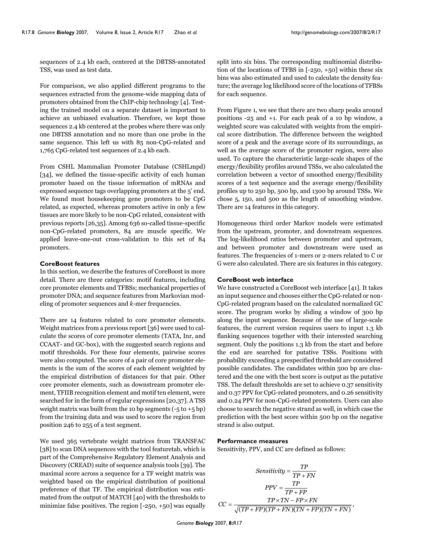sequences of 2.4 kb each, centered at the DBTSS-annotated TSS, was used as test data.

For comparison, we also applied different programs to the sequences extracted from the genome-wide mapping data of promoters obtained from the ChIP-chip technology [4]. Testing the trained model on a separate dataset is important to achieve an unbiased evaluation. Therefore, we kept those sequences 2.4 kb centered at the probes where there was only one DBTSS annotation and no more than one probe in the same sequence. This left us with 85 non-CpG-related and 1,765 CpG-related test sequences of 2.4 kb each.

From CSHL Mammalian Promoter Database (CSHLmpd) [34], we defined the tissue-specific activity of each human promoter based on the tissue information of mRNAs and expressed sequence tags overlapping promoters at the 5' end. We found most housekeeping gene promoters to be CpG related, as expected, whereas promoters active in only a few tissues are more likely to be non-CpG related, consistent with previous reports [26,35]. Among 636 so-called tissue-specific non-CpG-related promoters, 84 are muscle specific. We applied leave-one-out cross-validation to this set of 84 promoters.

## **CoreBoost features**

In this section, we describe the features of CoreBoost in more detail. There are three categories: motif features, including core promoter elements and TFBSs; mechanical properties of promoter DNA; and sequence features from Markovian modeling of promoter sequences and *k*-mer frequencies.

There are 14 features related to core promoter elements. Weight matrices from a previous report [36] were used to calculate the scores of core promoter elements (TATA, Inr, and CCAAT- and GC-box), with the suggested search regions and motif thresholds. For these four elements, pairwise scores were also computed. The score of a pair of core promoter elements is the sum of the scores of each element weighted by the empirical distribution of distances for that pair. Other core promoter elements, such as downstream promoter element, TFIIB recognition element and motif ten element, were searched for in the form of regular expressions [20,37]. A TSS weight matrix was built from the 10 bp segments (-5 to +5 bp) from the training data and was used to score the region from position 246 to 255 of a test segment.

We used 365 vertebrate weight matrices from TRANSFAC [38] to scan DNA sequences with the tool featuretab, which is part of the Comprehensive Regulatory Element Analysis and Discovery (CREAD) suite of sequence analysis tools [39]. The maximal score across a sequence for a TF weight matrix was weighted based on the empirical distribution of positional preference of that TF. The empirical distribution was estimated from the output of MATCH [40] with the thresholds to minimize false positives. The region [-250, +50] was equally

split into six bins. The corresponding multinomial distribution of the locations of TFBS in [-250, +50] within these six bins was also estimated and used to calculate the density feature; the average log likelihood score of the locations of TFBSs for each sequence.

From Figure [1,](#page-2-0) we see that there are two sharp peaks around positions -25 and +1. For each peak of a 10 bp window, a weighted score was calculated with weights from the empirical score distribution. The difference between the weighted score of a peak and the average score of its surroundings, as well as the average score of the promoter region, were also used. To capture the characteristic large-scale shapes of the energy/flexibility profiles around TSSs, we also calculated the correlation between a vector of smoothed energy/flexibility scores of a test sequence and the average energy/flexibility profiles up to 250 bp, 500 bp, and 1300 bp around TSSs. We chose 5, 150, and 500 as the length of smoothing window. There are 14 features in this category.

Homogeneous third order Markov models were estimated from the upstream, promoter, and downstream sequences. The log-likelihood ratios between promoter and upstream, and between promoter and downstream were used as features. The frequencies of 1-mers or 2-mers related to C or G were also calculated. There are six features in this category.

## **CoreBoost web interface**

We have constructed a CoreBoost web interface [41]. It takes an input sequence and chooses either the CpG-related or non-CpG-related program based on the calculated normalized GC score. The program works by sliding a window of 300 bp along the input sequence. Because of the use of large-scale features, the current version requires users to input 1.3 kb flanking sequences together with their interested searching segment. Only the positions 1.3 kb from the start and before the end are searched for putative TSSs. Positions with probability exceeding a prespecified threshold are considered possible candidates. The candidates within 500 bp are clustered and the one with the best score is output as the putative TSS. The default thresholds are set to achieve 0.37 sensitivity and 0.37 PPV for CpG-related promoters, and 0.26 sensitivity and 0.24 PPV for non-CpG-related promoters. Users can also choose to search the negative strand as well, in which case the prediction with the best score within 500 bp on the negative strand is also output.

# **Performance measures**

Sensitivity, PPV, and CC are defined as follows:

Sensitivity = 
$$
\frac{TP}{TP + FN}
$$

$$
PPV = \frac{TP}{TP + FP}
$$

$$
CC = \frac{TP \times TN - FP \times FN}{\sqrt{(TP + FP)(TP + FN)(TN + FP)(TN + FN)}},
$$